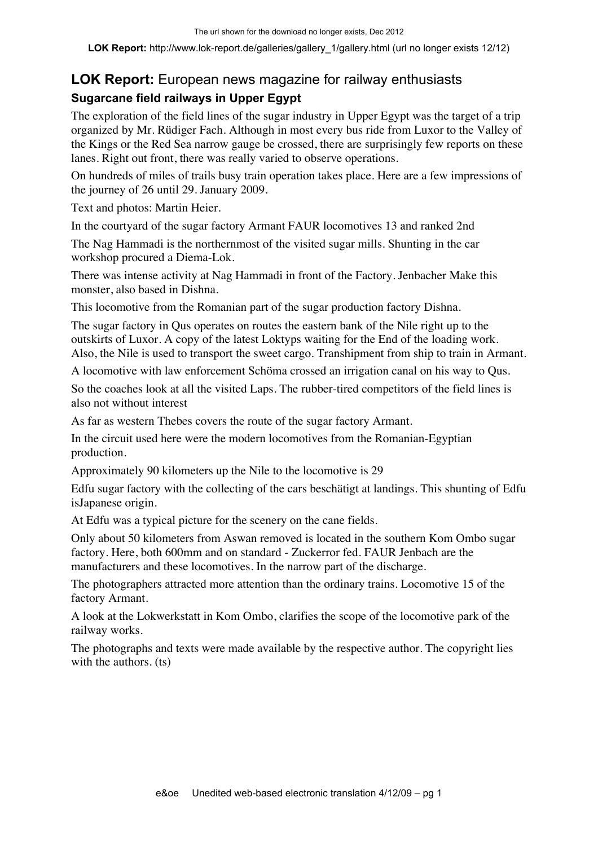**LOK Report:** http://www.lok-report.de/galleries/gallery\_1/gallery.html (url no longer exists 12/12)

# **LOK Report:** European news magazine for railway enthusiasts

### **Sugarcane field railways in Upper Egypt**

The exploration of the field lines of the sugar industry in Upper Egypt was the target of a trip organized by Mr. Rüdiger Fach. Although in most every bus ride from Luxor to the Valley of the Kings or the Red Sea narrow gauge be crossed, there are surprisingly few reports on these lanes. Right out front, there was really varied to observe operations.

On hundreds of miles of trails busy train operation takes place. Here are a few impressions of the journey of 26 until 29. January 2009.

Text and photos: Martin Heier.

In the courtyard of the sugar factory Armant FAUR locomotives 13 and ranked 2nd

The Nag Hammadi is the northernmost of the visited sugar mills. Shunting in the car workshop procured a Diema-Lok.

There was intense activity at Nag Hammadi in front of the Factory. Jenbacher Make this monster, also based in Dishna.

This locomotive from the Romanian part of the sugar production factory Dishna.

The sugar factory in Qus operates on routes the eastern bank of the Nile right up to the outskirts of Luxor. A copy of the latest Loktyps waiting for the End of the loading work. Also, the Nile is used to transport the sweet cargo. Transhipment from ship to train in Armant.

A locomotive with law enforcement Schöma crossed an irrigation canal on his way to Qus.

So the coaches look at all the visited Laps. The rubber-tired competitors of the field lines is also not without interest

As far as western Thebes covers the route of the sugar factory Armant.

In the circuit used here were the modern locomotives from the Romanian-Egyptian production.

Approximately 90 kilometers up the Nile to the locomotive is 29

Edfu sugar factory with the collecting of the cars beschätigt at landings. This shunting of Edfu isJapanese origin.

At Edfu was a typical picture for the scenery on the cane fields.

Only about 50 kilometers from Aswan removed is located in the southern Kom Ombo sugar factory. Here, both 600mm and on standard - Zuckerror fed. FAUR Jenbach are the manufacturers and these locomotives. In the narrow part of the discharge.

The photographers attracted more attention than the ordinary trains. Locomotive 15 of the factory Armant.

A look at the Lokwerkstatt in Kom Ombo, clarifies the scope of the locomotive park of the railway works.

The photographs and texts were made available by the respective author. The copyright lies with the authors. (ts)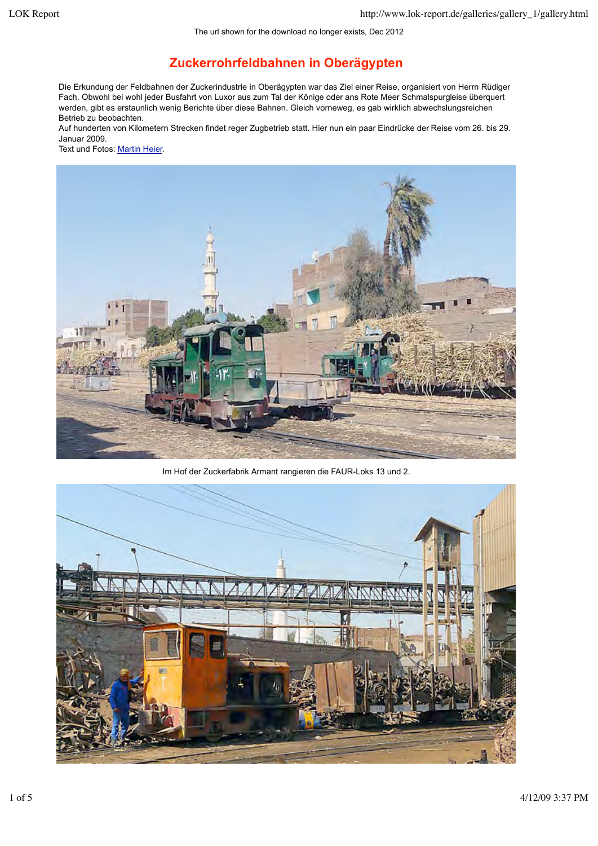The url shown for the download no longer exists, Dec 2012

## **Zuckerrohrfeldbahnen in Oberägypten**

Die Erkundung der Feldbahnen der Zuckerindustrie in Oberägypten war das Ziel einer Reise, organisiert von Herrn Rüdiger Fach. Obwohl bei wohl jeder Busfahrt von Luxor aus zum Tal der Könige oder ans Rote Meer Schmalspurgleise überquert werden, gibt es erstaunlich wenig Berichte über diese Bahnen. Gleich vorneweg, es gab wirklich abwechslungsreichen Betrieb zu beobachten.

Auf hunderten von Kilometern Strecken findet reger Zugbetrieb statt. Hier nun ein paar Eindrücke der Reise vom 26. bis 29. Januar 2009.

Text und Fotos: Martin Heier.



Im Hof der Zuckerfabrik Armant rangieren die FAUR-Loks 13 und 2.

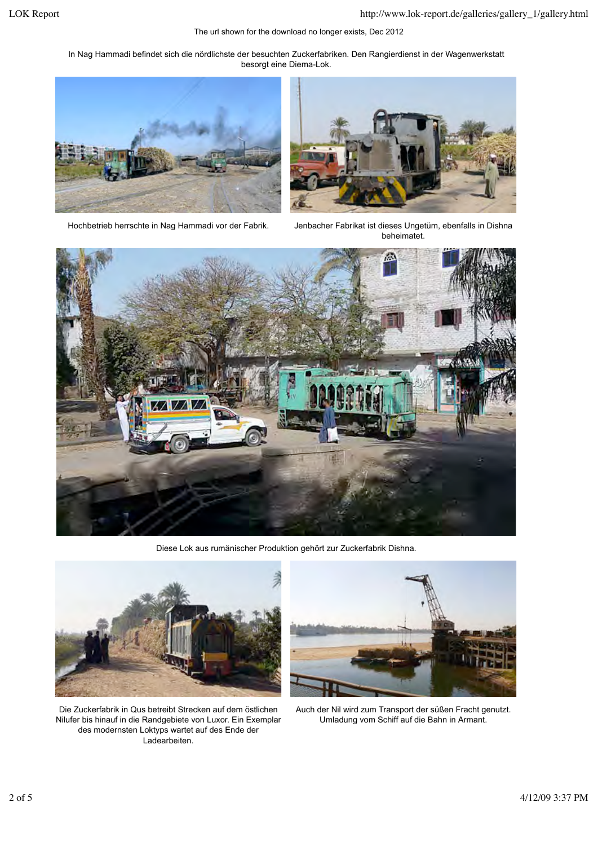#### The url shown for the download no longer exists, Dec 2012

In Nag Hammadi befindet sich die nördlichste der besuchten Zuckerfabriken. Den Rangierdienst in der Wagenwerkstatt besorgt eine Diema-Lok.





Hochbetrieb herrschte in Nag Hammadi vor der Fabrik. Jenbacher Fabrikat ist dieses Ungetüm, ebenfalls in Dishna beheimatet.



Diese Lok aus rumänischer Produktion gehört zur Zuckerfabrik Dishna.



Die Zuckerfabrik in Qus betreibt Strecken auf dem östlichen Nilufer bis hinauf in die Randgebiete von Luxor. Ein Exemplar des modernsten Loktyps wartet auf des Ende der Ladearbeiten.



Auch der Nil wird zum Transport der süßen Fracht genutzt. Umladung vom Schiff auf die Bahn in Armant.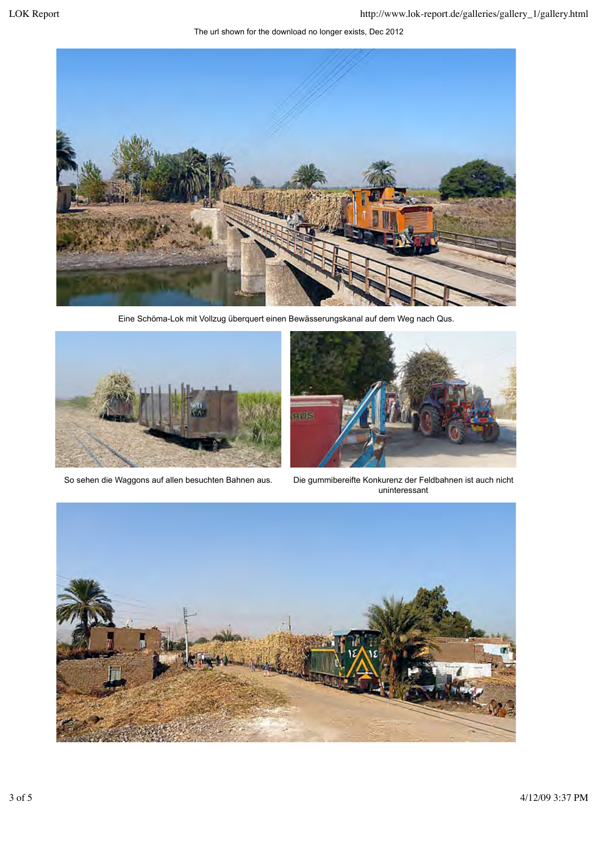The url shown for the download no longer exists, Dec 2012



Eine Schöma-Lok mit Vollzug überquert einen Bewässerungskanal auf dem Weg nach Qus.





So sehen die Waggons auf allen besuchten Bahnen aus. Die gummibereifte Konkurenz der Feldbahnen ist auch nicht uninteressant

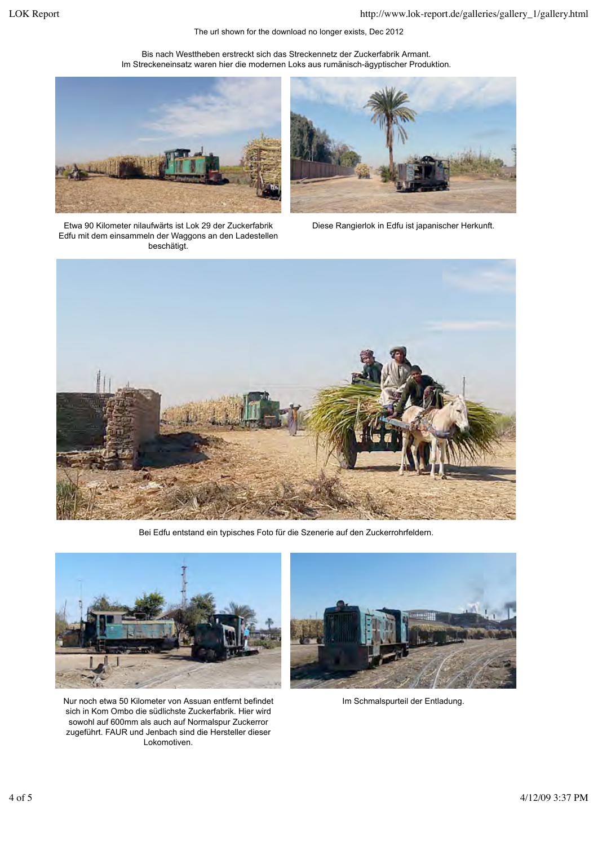The url shown for the download no longer exists, Dec 2012

#### Bis nach Westtheben erstreckt sich das Streckennetz der Zuckerfabrik Armant. Im Streckeneinsatz waren hier die modernen Loks aus rumänisch-ägyptischer Produktion.





Etwa 90 Kilometer nilaufwärts ist Lok 29 der Zuckerfabrik Edfu mit dem einsammeln der Waggons an den Ladestellen beschätigt.

Diese Rangierlok in Edfu ist japanischer Herkunft.



Bei Edfu entstand ein typisches Foto für die Szenerie auf den Zuckerrohrfeldern.



Nur noch etwa 50 Kilometer von Assuan entfernt befindet sich in Kom Ombo die südlichste Zuckerfabrik. Hier wird sowohl auf 600mm als auch auf Normalspur Zuckerror zugeführt. FAUR und Jenbach sind die Hersteller dieser Lokomotiven.



Im Schmalspurteil der Entladung.